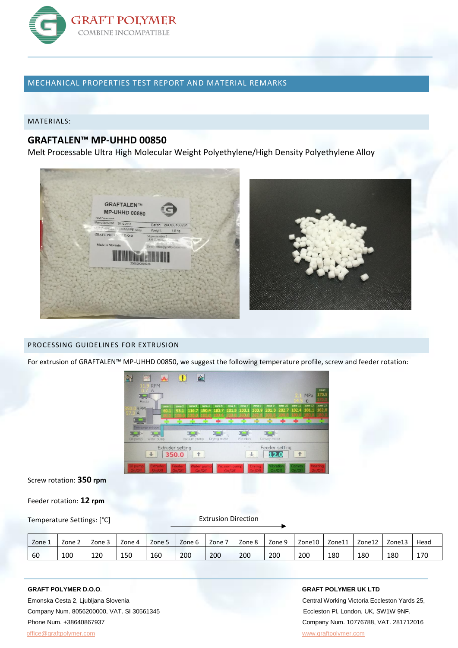

# MECHANICAL PROPERTIES TEST REPORT AND MATERIAL REMARKS

MATERIALS:

# **GRAFTALEN™ MP-UHHD 00850**

Melt Processable Ultra High Molecular Weight Polyethylene/High Density Polyethylene Alloy



## PROCESSING GUIDELINES FOR EXTRUSION

For extrusion of GRAFTALEN™ MP-UHHD 00850, we suggest the following temperature profile, screw and feeder rotation:



Screw rotation: **350 rpm**

Feeder rotation: **12 rpm**

Temperature Settings: [°C]

Extrusion Direction

| Zone 1 | Zone 2 | Zone 3 | Zone 4 | Zone 5 | Zone 6 | Zone | Zone 8 | Zone 9 | Zone10 | Zone11 | Zone12 | Zone13 | Head |
|--------|--------|--------|--------|--------|--------|------|--------|--------|--------|--------|--------|--------|------|
| 60     | 100    | 120    | 150    | 160    | 200    | 200  | 200    | 200    | 200    | 180    | 180    | 180    | 170  |

 Company Num. 8056200000, VAT. SI 30561345 Eccleston Pl, London, UK, SW1W 9NF. Phone Num. +38640867937 Company Num. 10776788, VAT. 281712016 [office@graftpolymer.com](mailto:office@graftpolymer.com) [www.graftpolymer.com](http://www.graftpolymer.com/)

#### **GRAFT POLYMER D.O.O**. **GRAFT POLYMER UK LTD**

Emonska Cesta 2, Ljubljana Slovenia Central Working Victoria Eccleston Yards 25,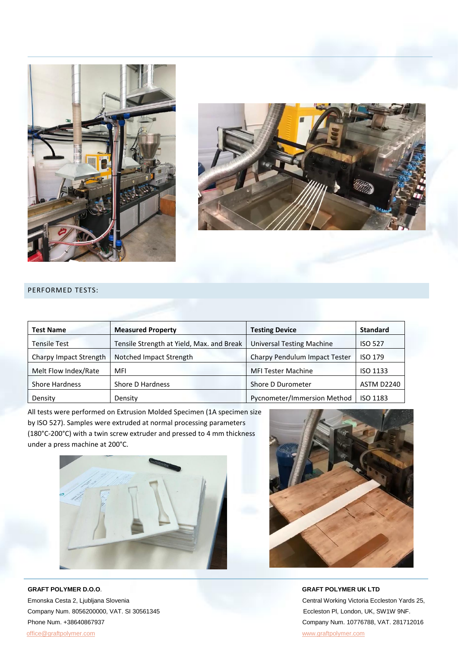



### PERFORMED TESTS:

| <b>Test Name</b>       | <b>Measured Property</b>                  | <b>Testing Device</b>                | <b>Standard</b> |
|------------------------|-------------------------------------------|--------------------------------------|-----------------|
| <b>Tensile Test</b>    | Tensile Strength at Yield, Max. and Break | <b>Universal Testing Machine</b>     | <b>ISO 527</b>  |
| Charpy Impact Strength | Notched Impact Strength                   | <b>Charpy Pendulum Impact Tester</b> | <b>ISO 179</b>  |
| Melt Flow Index/Rate   | MFI                                       | <b>MFI Tester Machine</b>            | ISO 1133        |
| <b>Shore Hardness</b>  | Shore D Hardness                          | Shore D Durometer                    | ASTM D2240      |
| Density                | Density                                   | Pycnometer/Immersion Method          | ISO 1183        |

All tests were performed on Extrusion Molded Specimen (1A specimen size by ISO 527). Samples were extruded at normal processing parameters (180°C-200°C) with a twin screw extruder and pressed to 4 mm thickness under a press machine at 200°C.



 **GRAFT POLYMER D.O.O**. **GRAFT POLYMER UK LTD** Emonska Cesta 2, Ljubljana Slovenia Central Working Victoria Eccleston Yards 25, Company Num. 8056200000, VAT. SI 30561345 Eccleston Pl, London, UK, SW1W 9NF. Phone Num. +38640867937 Company Num. 10776788, VAT. 281712016 [office@graftpolymer.com](mailto:office@graftpolymer.com) [www.graftpolymer.com](http://www.graftpolymer.com/)

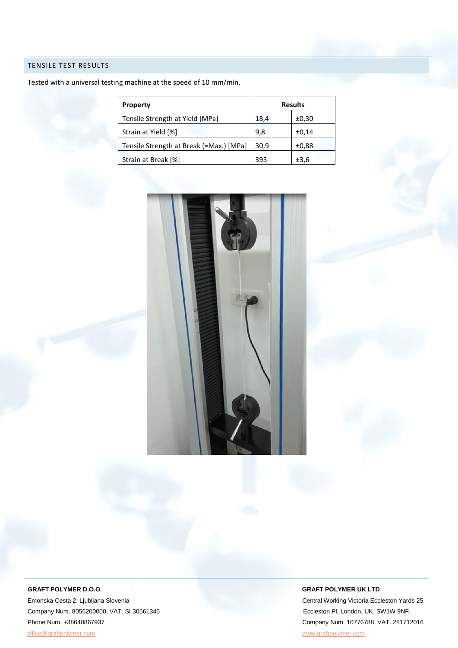## TENSILE TEST RESULTS

Tested with a universal testing machine at the speed of 10 mm/min.

| <b>Property</b>                         | <b>Results</b> |       |  |  |
|-----------------------------------------|----------------|-------|--|--|
| Tensile Strength at Yield [MPa]         | 18,4           | ±0,30 |  |  |
| Strain at Yield [%]                     | 9,8            | ±0,14 |  |  |
| Tensile Strength at Break (=Max.) [MPa] | 30,9           | ±0,88 |  |  |
| Strain at Break [%]                     | 395            | ±3,6  |  |  |



Emonska Cesta 2, Ljubljana Slovenia Central Working Victoria Eccleston Yards 25, Company Num. 8056200000, VAT. SI 30561345 Eccleston Pl, London, UK, SW1W 9NF. Phone Num. +38640867937 Company Num. 10776788, VAT. 281712016 [office@graftpolymer.com](mailto:office@graftpolymer.com) [www.graftpolymer.com](http://www.graftpolymer.com/)

#### **GRAFT POLYMER D.O.O**. **GRAFT POLYMER UK LTD**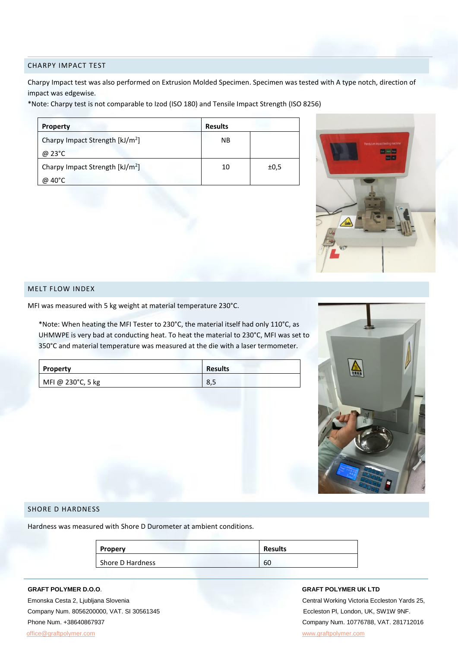#### CHARPY IMPACT TEST

Charpy Impact test was also performed on Extrusion Molded Specimen. Specimen was tested with A type notch, direction of impact was edgewise.

\*Note: Charpy test is not comparable to Izod (ISO 180) and Tensile Impact Strength (ISO 8256)

| <b>Property</b>                             | <b>Results</b> |      |
|---------------------------------------------|----------------|------|
| Charpy Impact Strength [kJ/m <sup>2</sup> ] | <b>NB</b>      |      |
| @ 23°C                                      |                |      |
| Charpy Impact Strength [kJ/m <sup>2</sup> ] | 10             | ±0.5 |
| @ 40°C                                      |                |      |



#### MELT FLOW INDEX

MFI was measured with 5 kg weight at material temperature 230°C.

\*Note: When heating the MFI Tester to 230°C, the material itself had only 110°C, as UHMWPE is very bad at conducting heat. To heat the material to 230°C, MFI was set to 350°C and material temperature was measured at the die with a laser termometer.

| <b>Property</b>   | <b>Results</b> |
|-------------------|----------------|
| MFI @ 230°C, 5 kg | 8,5            |



### SHORE D HARDNESS

Hardness was measured with Shore D Durometer at ambient conditions.

| Propery          | <b>Results</b> |
|------------------|----------------|
| Shore D Hardness | 60             |

 Company Num. 8056200000, VAT. SI 30561345 Eccleston Pl, London, UK, SW1W 9NF. Phone Num. +38640867937 Company Num. 10776788, VAT. 281712016 [office@graftpolymer.com](mailto:office@graftpolymer.com) [www.graftpolymer.com](http://www.graftpolymer.com/)

#### **GRAFT POLYMER D.O.O**. **GRAFT POLYMER UK LTD**

Emonska Cesta 2, Ljubljana Slovenia Central Working Victoria Eccleston Yards 25,